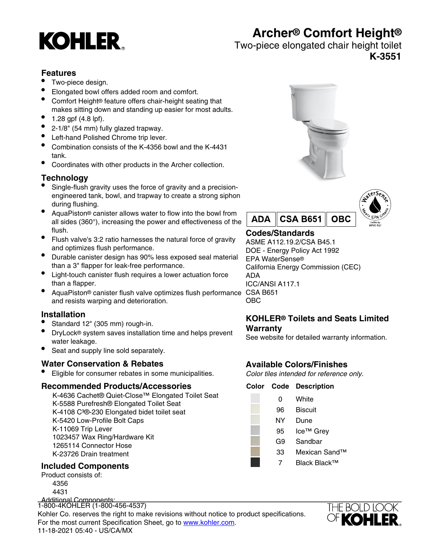# **KOHLER**

# **Archer® Comfort Height®**

Two-piece elongated chair height toilet

**K-3551**

# **Features**

- Two-piece design.
- Elongated bowl offers added room and comfort.
- Comfort Height® feature offers chair-height seating that makes sitting down and standing up easier for most adults.
- $1.28$  gpf (4.8 lpf).
- 2-1/8" (54 mm) fully glazed trapway.
- Left-hand Polished Chrome trip lever.
- Combination consists of the K-4356 bowl and the K-4431 tank.
- Coordinates with other products in the Archer collection.

# **Technology**

- Single-flush gravity uses the force of gravity and a precisionengineered tank, bowl, and trapway to create a strong siphon during flushing.
- AquaPiston® canister allows water to flow into the bowl from all sides (360°), increasing the power and effectiveness of the flush.
- Flush valve's 3:2 ratio harnesses the natural force of gravity and optimizes flush performance.
- Durable canister design has 90% less exposed seal material than a 3" flapper for leak-free performance.
- Light-touch canister flush requires a lower actuation force than a flapper.
- AquaPiston® canister flush valve optimizes flush performance CSA B651 and resists warping and deterioration.

# **Installation**

- Standard 12" (305 mm) rough-in.
- DryLock® system saves installation time and helps prevent water leakage.
- Seat and supply line sold separately.

# **Water Conservation & Rebates**

• Eligible for consumer rebates in some municipalities.

#### **Recommended Products/Accessories**

K-4636 Cachet® Quiet-Close™ Elongated Toilet Seat K-5588 Purefresh® Elongated Toilet Seat K-4108 C<sup>3</sup>®-230 Elongated bidet toilet seat K-5420 Low-Profile Bolt Caps K-11069 Trip Lever 1023457 Wax Ring/Hardware Kit 1265114 Connector Hose K-23726 Drain treatment

# **Included Components**

Product consists of: 4356 4431

Additional Components: 1-800-4KOHLER (1-800-456-4537)<br>|<br />

Kohler Co. reserves the right to make revisions without notice to product specifications. For the most current Specification Sheet, go to [www.kohler.com](http://www.kohler.com).<br>11.19.2001.25.18. US/OA/NY 11-18-2021 05:40 - US/CA/MX





# **Codes/Standards**

ASME A112.19.2/CSA B45.1 DOE - Energy Policy Act 1992 EPA WaterSense® California Energy Commission (CEC) ADA ICC/ANSI A117.1 OBC

#### **KOHLER® Toilets and Seats Limited Warranty**

See website for detailed warranty information.

# **Available Colors/Finishes**

Color tiles intended for reference only.

#### **Color Code Description**

- 0 White
- 96 Biscuit
- NY Dune
- 95 Ice™ Grev
	- G9 Sandbar
	- 33 Mexican Sand™
	- 7 Black Black™